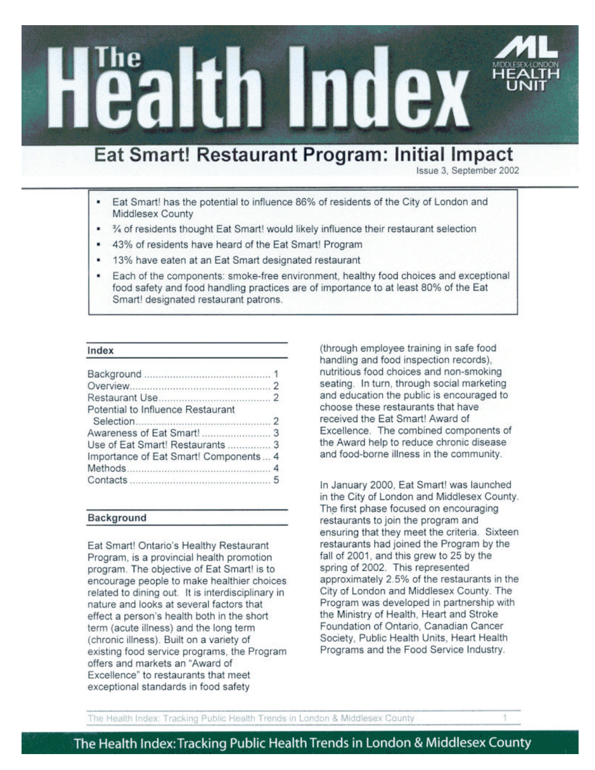# Eat Smart! Restaurant Program: Initial Impact

in Index

Issue 3. September 2002

- Eat Smart! has the potential to influence 86% of residents of the City of London and Middlesex County
- 1/4 of residents thought Eat Smart! would likely influence their restaurant selection
- 43% of residents have heard of the Eat Smart! Program
- 13% have eaten at an Eat Smart designated restaurant
- Each of the components: smoke-free environment, healthy food choices and exceptional food safety and food handling practices are of importance to at least 80% of the Eat Smart! designated restaurant patrons.

#### Index

| Potential to Influence Restaurant     |  |
|---------------------------------------|--|
|                                       |  |
|                                       |  |
| Use of Eat Smart! Restaurants  3      |  |
| Importance of Eat Smart! Components 4 |  |
|                                       |  |
|                                       |  |

### Background

Eat Smart! Ontario's Healthy Restaurant Program, is a provincial health promotion program. The objective of Eat Smart! is to encourage people to make healthier choices related to dining out. It is interdisciplinary in nature and looks at several factors that effect a person's health both in the short term (acute illness) and the long term (chronic illness). Built on a variety of existing food service programs, the Program offers and markets an "Award of Excellence" to restaurants that meet exceptional standards in food safety

(through employee training in safe food handling and food inspection records), nutritious food choices and non-smoking seating. In turn, through social marketing and education the public is encouraged to choose these restaurants that have received the Eat Smart! Award of Excellence. The combined components of the Award help to reduce chronic disease and food-borne illness in the community.

In January 2000, Eat Smart! was launched in the City of London and Middlesex County. The first phase focused on encouraging restaurants to join the program and ensuring that they meet the criteria. Sixteen restaurants had joined the Program by the fall of 2001, and this grew to 25 by the spring of 2002. This represented approximately 2.5% of the restaurants in the City of London and Middlesex County. The Program was developed in partnership with the Ministry of Health, Heart and Stroke Foundation of Ontario, Canadian Cancer Society, Public Health Units, Heart Health Programs and the Food Service Industry.

The Health Index: Tracking Public Health Trends in London & Middlesex County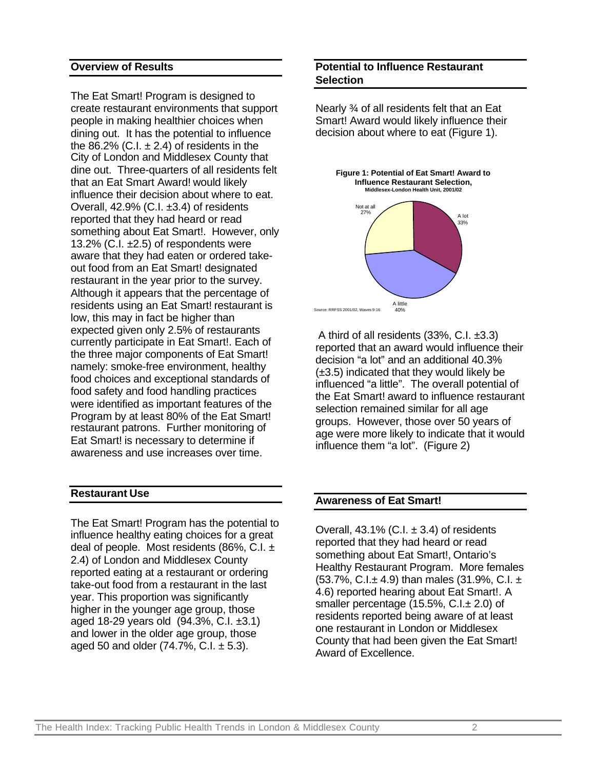# **Overview of Results**

The Eat Smart! Program is designed to create restaurant environments that support people in making healthier choices when dining out. It has the potential to influence the 86.2% (C.I.  $\pm$  2.4) of residents in the City of London and Middlesex County that dine out. Three-quarters of all residents felt that an Eat Smart Award! would likely influence their decision about where to eat. Overall, 42.9% (C.I. ±3.4) of residents reported that they had heard or read something about Eat Smart!. However, only 13.2%  $(C.I. \pm 2.5)$  of respondents were aware that they had eaten or ordered takeout food from an Eat Smart! designated restaurant in the year prior to the survey. Although it appears that the percentage of residents using an Eat Smart! restaurant is low, this may in fact be higher than expected given only 2.5% of restaurants currently participate in Eat Smart!. Each of the three major components of Eat Smart! namely: smoke-free environment, healthy food choices and exceptional standards of food safety and food handling practices were identified as important features of the Program by at least 80% of the Eat Smart! restaurant patrons. Further monitoring of Eat Smart! is necessary to determine if awareness and use increases over time.

# **Restaurant Use**

The Eat Smart! Program has the potential to influence healthy eating choices for a great deal of people. Most residents (86%, C.I.  $\pm$ 2.4) of London and Middlesex County reported eating at a restaurant or ordering take-out food from a restaurant in the last year. This proportion was significantly higher in the younger age group, those aged 18-29 years old (94.3%, C.I. ±3.1) and lower in the older age group, those aged 50 and older  $(74.7\% , C.I. \pm 5.3)$ .

# **Potential to Influence Restaurant Selection**

Nearly ¾ of all residents felt that an Eat Smart! Award would likely influence their decision about where to eat (Figure 1).



 A third of all residents (33%, C.I. ±3.3) reported that an award would influence their decision "a lot" and an additional 40.3% (±3.5) indicated that they would likely be influenced "a little". The overall potential of the Eat Smart! award to influence restaurant selection remained similar for all age groups. However, those over 50 years of age were more likely to indicate that it would influence them "a lot". (Figure 2)

## **Awareness of Eat Smart!**

Overall,  $43.1\%$  (C.I.  $\pm 3.4$ ) of residents reported that they had heard or read something about Eat Smart!, Ontario's Healthy Restaurant Program. More females  $(53.7\% \text{ C} \cdot \text{L} \pm 4.9)$  than males  $(31.9\% \text{ C} \cdot \text{L} \pm 1.1)$ 4.6) reported hearing about Eat Smart!. A smaller percentage (15.5%, C.I.± 2.0) of residents reported being aware of at least one restaurant in London or Middlesex County that had been given the Eat Smart! Award of Excellence.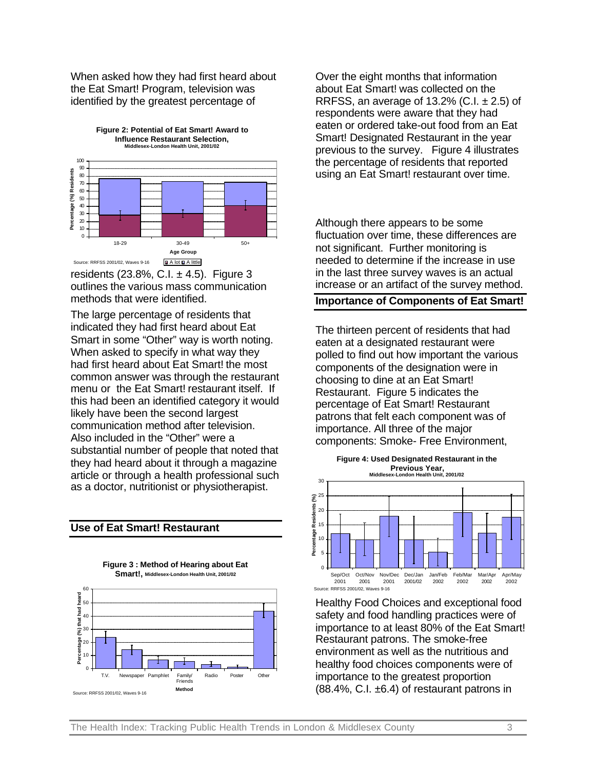When asked how they had first heard about the Eat Smart! Program, television was identified by the greatest percentage of



residents  $(23.8\% , C.I. \pm 4.5)$ . Figure 3 outlines the various mass communication methods that were identified.

The large percentage of residents that indicated they had first heard about Eat Smart in some "Other" way is worth noting. When asked to specify in what way they had first heard about Eat Smart! the most common answer was through the restaurant menu or the Eat Smart! restaurant itself. If this had been an identified category it would likely have been the second largest communication method after television. Also included in the "Other" were a substantial number of people that noted that they had heard about it through a magazine article or through a health professional such as a doctor, nutritionist or physiotherapist.

### **Use of Eat Smart! Restaurant**

**Figure 3 : Method of Hearing about Eat Smart!, Middlesex-London Health Unit, 2001/02**



Over the eight months that information about Eat Smart! was collected on the RRFSS, an average of 13.2% (C.I.  $\pm$  2.5) of respondents were aware that they had eaten or ordered take-out food from an Eat Smart! Designated Restaurant in the year previous to the survey. Figure 4 illustrates the percentage of residents that reported using an Eat Smart! restaurant over time.

Although there appears to be some fluctuation over time, these differences are not significant. Further monitoring is needed to determine if the increase in use in the last three survey waves is an actual increase or an artifact of the survey method.

## **Importance of Components of Eat Smart!**

The thirteen percent of residents that had eaten at a designated restaurant were polled to find out how important the various components of the designation were in choosing to dine at an Eat Smart! Restaurant. Figure 5 indicates the percentage of Eat Smart! Restaurant patrons that felt each component was of importance. All three of the major components: Smoke- Free Environment,



Healthy Food Choices and exceptional food safety and food handling practices were of importance to at least 80% of the Eat Smart! Restaurant patrons. The smoke-free environment as well as the nutritious and healthy food choices components were of importance to the greatest proportion (88.4%, C.I. ±6.4) of restaurant patrons in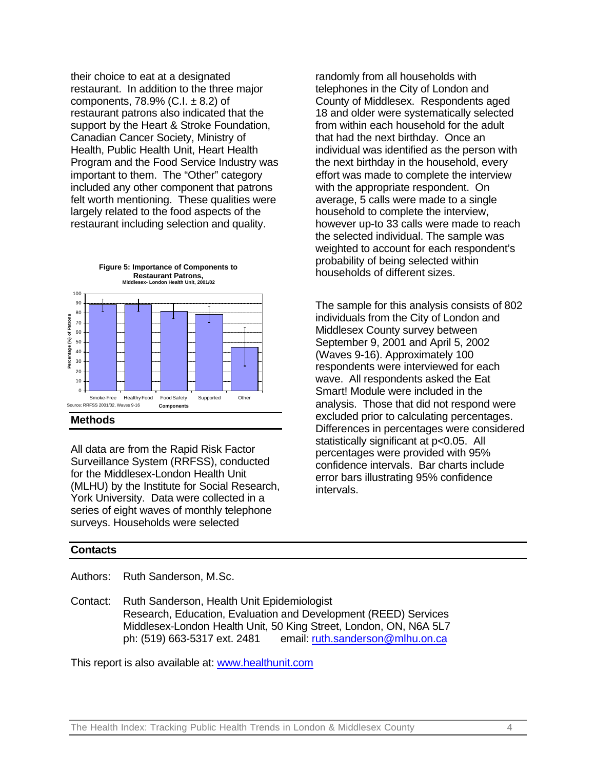their choice to eat at a designated restaurant. In addition to the three major components,  $78.9\%$  (C.I.  $\pm 8.2$ ) of restaurant patrons also indicated that the support by the Heart & Stroke Foundation, Canadian Cancer Society, Ministry of Health, Public Health Unit, Heart Health Program and the Food Service Industry was important to them. The "Other" category included any other component that patrons felt worth mentioning. These qualities were largely related to the food aspects of the restaurant including selection and quality.



## **Methods**

All data are from the Rapid Risk Factor Surveillance System (RRFSS), conducted for the Middlesex-London Health Unit (MLHU) by the Institute for Social Research, York University. Data were collected in a series of eight waves of monthly telephone surveys. Households were selected

randomly from all households with telephones in the City of London and County of Middlesex. Respondents aged 18 and older were systematically selected from within each household for the adult that had the next birthday. Once an individual was identified as the person with the next birthday in the household, every effort was made to complete the interview with the appropriate respondent. On average, 5 calls were made to a single household to complete the interview, however up-to 33 calls were made to reach the selected individual. The sample was weighted to account for each respondent's probability of being selected within households of different sizes.

The sample for this analysis consists of 802 individuals from the City of London and Middlesex County survey between September 9, 2001 and April 5, 2002 (Waves 9-16). Approximately 100 respondents were interviewed for each wave. All respondents asked the Eat Smart! Module were included in the analysis. Those that did not respond were excluded prior to calculating percentages. Differences in percentages were considered statistically significant at p<0.05. All percentages were provided with 95% confidence intervals. Bar charts include error bars illustrating 95% confidence intervals.

### **Contacts**

Authors: Ruth Sanderson, M.Sc.

Contact: Ruth Sanderson, Health Unit Epidemiologist Research, Education, Evaluation and Development (REED) Services Middlesex-London Health Unit, 50 King Street, London, ON, N6A 5L7 ph: (519) 663-5317 ext. 2481 email: ruth.sanderson@mlhu.on.ca

This report is also available at: www.healthunit.com